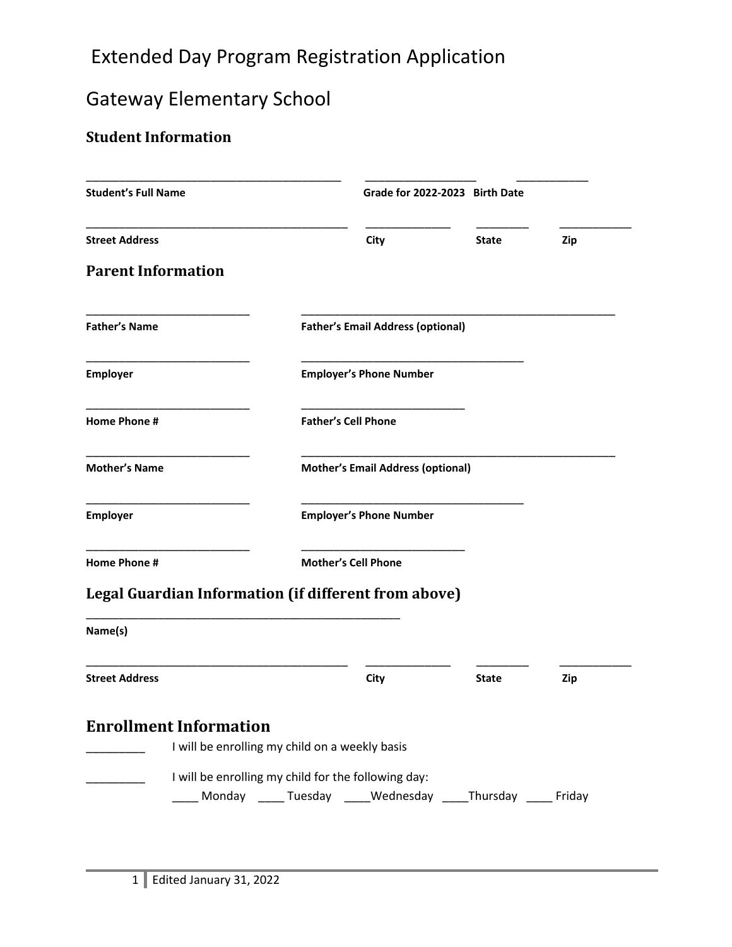## Extended Day Program Registration Application

# Gateway Elementary School

## **Student Information**

| <b>Student's Full Name</b> |                                                             |                                          | Grade for 2022-2023 Birth Date |            |  |
|----------------------------|-------------------------------------------------------------|------------------------------------------|--------------------------------|------------|--|
| <b>Street Address</b>      |                                                             | City                                     | <b>State</b>                   | Zip        |  |
| <b>Parent Information</b>  |                                                             |                                          |                                |            |  |
| <b>Father's Name</b>       |                                                             | <b>Father's Email Address (optional)</b> |                                |            |  |
| <b>Employer</b>            |                                                             | <b>Employer's Phone Number</b>           |                                |            |  |
| Home Phone #               |                                                             | <b>Father's Cell Phone</b>               |                                |            |  |
| <b>Mother's Name</b>       |                                                             | <b>Mother's Email Address (optional)</b> |                                |            |  |
| <b>Employer</b>            |                                                             | <b>Employer's Phone Number</b>           |                                |            |  |
| <b>Home Phone #</b>        |                                                             | <b>Mother's Cell Phone</b>               |                                |            |  |
|                            | <b>Legal Guardian Information (if different from above)</b> |                                          |                                |            |  |
| Name(s)                    |                                                             |                                          |                                |            |  |
| <b>Street Address</b>      |                                                             | City                                     | <b>State</b>                   | <b>Zip</b> |  |
|                            | <b>Enrollment Information</b>                               |                                          |                                |            |  |
|                            |                                                             |                                          |                                |            |  |
|                            | I will be enrolling my child on a weekly basis              |                                          |                                |            |  |
|                            | I will be enrolling my child for the following day:         |                                          |                                |            |  |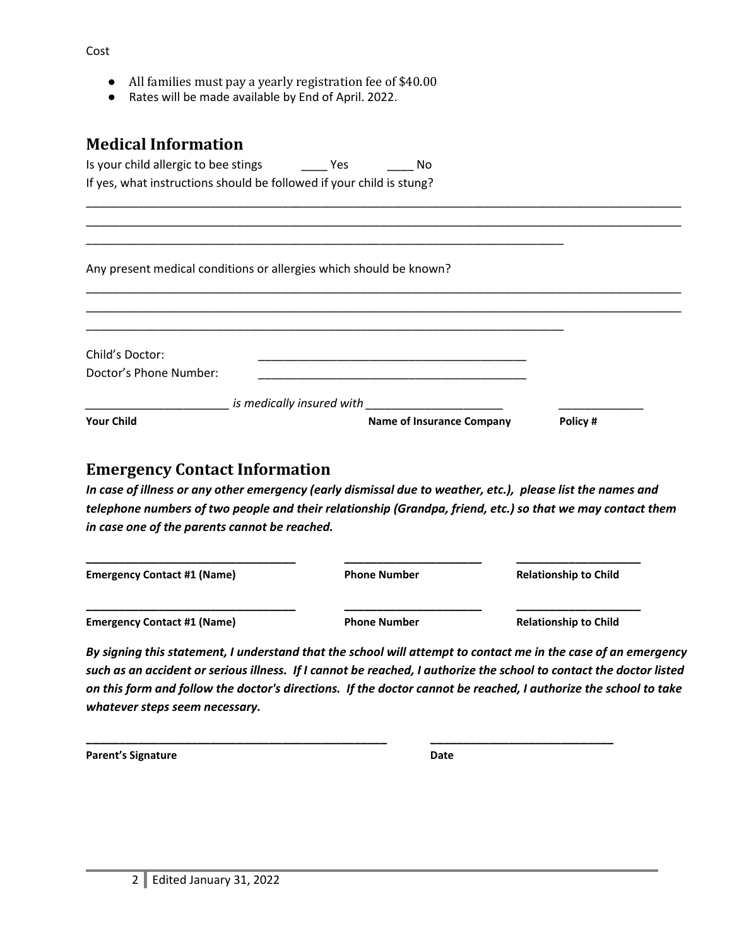|  |  | All families must pay a yearly registration fee of \$40.00 |  |  |  |
|--|--|------------------------------------------------------------|--|--|--|
|--|--|------------------------------------------------------------|--|--|--|

Rates will be made available by End of April. 2022.

#### **Medical Information**

| Is your child allergic to bee stings                                 | Yes | No. |
|----------------------------------------------------------------------|-----|-----|
| If yes, what instructions should be followed if your child is stung? |     |     |

Any present medical conditions or allergies which should be known?

\_\_\_\_\_\_\_\_\_\_\_\_\_\_\_\_\_\_\_\_\_\_\_\_\_\_\_\_\_\_\_\_\_\_\_\_\_\_\_\_\_\_\_\_\_\_\_\_\_\_\_\_\_\_\_\_\_\_\_\_\_\_\_\_\_\_\_\_\_\_\_\_\_

| Child's Doctor:        |                           |                                  |         |
|------------------------|---------------------------|----------------------------------|---------|
| Doctor's Phone Number: |                           |                                  |         |
|                        | is medically insured with |                                  |         |
| <b>Your Child</b>      |                           | <b>Name of Insurance Company</b> | Policy# |

\_\_\_\_\_\_\_\_\_\_\_\_\_\_\_\_\_\_\_\_\_\_\_\_\_\_\_\_\_\_\_\_\_\_\_\_\_\_\_\_\_\_\_\_\_\_\_\_\_\_\_\_\_\_\_\_\_\_\_\_\_\_\_\_\_\_\_\_\_\_\_\_\_\_\_\_\_\_\_\_\_\_\_\_\_\_\_\_\_\_\_

\_\_\_\_\_\_\_\_\_\_\_\_\_\_\_\_\_\_\_\_\_\_\_\_\_\_\_\_\_\_\_\_\_\_\_\_\_\_\_\_\_\_\_\_\_\_\_\_\_\_\_\_\_\_\_\_\_\_\_\_\_\_\_\_\_\_\_\_\_\_\_\_\_\_\_\_\_\_\_\_\_\_\_\_\_\_\_\_\_\_\_ \_\_\_\_\_\_\_\_\_\_\_\_\_\_\_\_\_\_\_\_\_\_\_\_\_\_\_\_\_\_\_\_\_\_\_\_\_\_\_\_\_\_\_\_\_\_\_\_\_\_\_\_\_\_\_\_\_\_\_\_\_\_\_\_\_\_\_\_\_\_\_\_\_\_\_\_\_\_\_\_\_\_\_\_\_\_\_\_\_\_\_

#### **Emergency Contact Information**

*In case of illness or any other emergency (early dismissal due to weather, etc.), please list the names and telephone numbers of two people and their relationship (Grandpa, friend, etc.) so that we may contact them in case one of the parents cannot be reached.* 

| <b>Emergency Contact #1 (Name)</b> | <b>Phone Number</b> | <b>Relationship to Child</b> |
|------------------------------------|---------------------|------------------------------|
| <b>Emergency Contact #1 (Name)</b> | <b>Phone Number</b> | <b>Relationship to Child</b> |

**\_\_\_\_\_\_\_\_\_\_\_\_\_\_\_\_\_\_\_\_\_\_\_\_\_\_\_\_\_\_\_\_\_\_\_\_\_\_\_\_\_\_\_\_\_\_ \_\_\_\_\_\_\_\_\_\_\_\_\_\_\_\_\_\_\_\_\_\_\_\_\_\_\_\_**

*By signing this statement, I understand that the school will attempt to contact me in the case of an emergency such as an accident or serious illness. If I cannot be reached, I authorize the school to contact the doctor listed on this form and follow the doctor's directions. If the doctor cannot be reached, I authorize the school to take whatever steps seem necessary.*

**Parent's Signature Date**